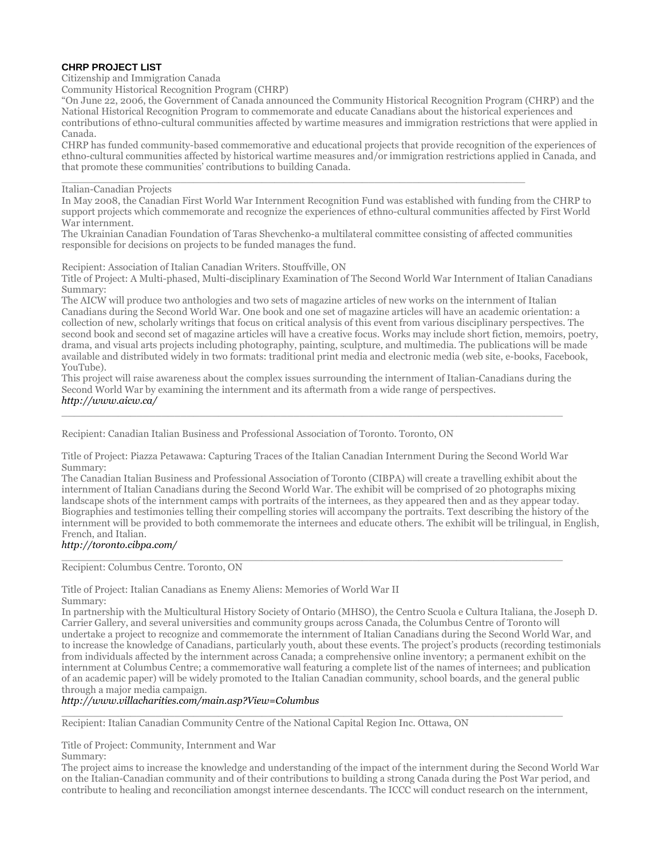# **CHRP PROJECT LIST**

Citizenship and Immigration Canada

Community Historical Recognition Program (CHRP)

"On June 22, 2006, the Government of Canada announced the Community Historical Recognition Program (CHRP) and the National Historical Recognition Program to commemorate and educate Canadians about the historical experiences and contributions of ethno-cultural communities affected by wartime measures and immigration restrictions that were applied in Canada.

CHRP has funded community-based commemorative and educational projects that provide recognition of the experiences of ethno-cultural communities affected by historical wartime measures and/or immigration restrictions applied in Canada, and that promote these communities' contributions to building Canada.

#### $\_$  ,  $\_$  ,  $\_$  ,  $\_$  ,  $\_$  ,  $\_$  ,  $\_$  ,  $\_$  ,  $\_$  ,  $\_$  ,  $\_$  ,  $\_$  ,  $\_$  ,  $\_$  ,  $\_$  ,  $\_$  ,  $\_$  ,  $\_$  ,  $\_$  ,  $\_$  ,  $\_$  ,  $\_$  ,  $\_$  ,  $\_$  ,  $\_$  ,  $\_$  ,  $\_$  ,  $\_$  ,  $\_$  ,  $\_$  ,  $\_$  ,  $\_$  ,  $\_$  ,  $\_$  ,  $\_$  ,  $\_$  ,  $\_$  , Italian-Canadian Projects

In May 2008, the Canadian First World War Internment Recognition Fund was established with funding from the CHRP to support projects which commemorate and recognize the experiences of ethno-cultural communities affected by First World War internment.

The Ukrainian Canadian Foundation of Taras Shevchenko-a multilateral committee consisting of affected communities responsible for decisions on projects to be funded manages the fund.

Recipient: Association of Italian Canadian Writers. Stouffville, ON

Title of Project: A Multi-phased, Multi-disciplinary Examination of The Second World War Internment of Italian Canadians Summary:

The AICW will produce two anthologies and two sets of magazine articles of new works on the internment of Italian Canadians during the Second World War. One book and one set of magazine articles will have an academic orientation: a collection of new, scholarly writings that focus on critical analysis of this event from various disciplinary perspectives. The second book and second set of magazine articles will have a creative focus. Works may include short fiction, memoirs, poetry, drama, and visual arts projects including photography, painting, sculpture, and multimedia. The publications will be made available and distributed widely in two formats: traditional print media and electronic media (web site, e-books, Facebook, YouTube).

This project will raise awareness about the complex issues surrounding the internment of Italian-Canadians during the Second World War by examining the internment and its aftermath from a wide range of perspectives. *<http://www.aicw.ca/>*

 $\_$  ,  $\_$  ,  $\_$  ,  $\_$  ,  $\_$  ,  $\_$  ,  $\_$  ,  $\_$  ,  $\_$  ,  $\_$  ,  $\_$  ,  $\_$  ,  $\_$  ,  $\_$  ,  $\_$  ,  $\_$  ,  $\_$  ,  $\_$  ,  $\_$  ,  $\_$  ,  $\_$  ,  $\_$  ,  $\_$  ,  $\_$  ,  $\_$  ,  $\_$  ,  $\_$  ,  $\_$  ,  $\_$  ,  $\_$  ,  $\_$  ,  $\_$  ,  $\_$  ,  $\_$  ,  $\_$  ,  $\_$  ,  $\_$  ,

Recipient: Canadian Italian Business and Professional Association of Toronto. Toronto, ON

Title of Project: Piazza Petawawa: Capturing Traces of the Italian Canadian Internment During the Second World War Summary:

 $\_$  ,  $\_$  ,  $\_$  ,  $\_$  ,  $\_$  ,  $\_$  ,  $\_$  ,  $\_$  ,  $\_$  ,  $\_$  ,  $\_$  ,  $\_$  ,  $\_$  ,  $\_$  ,  $\_$  ,  $\_$  ,  $\_$  ,  $\_$  ,  $\_$  ,  $\_$  ,  $\_$  ,  $\_$  ,  $\_$  ,  $\_$  ,  $\_$  ,  $\_$  ,  $\_$  ,  $\_$  ,  $\_$  ,  $\_$  ,  $\_$  ,  $\_$  ,  $\_$  ,  $\_$  ,  $\_$  ,  $\_$  ,  $\_$  ,

The Canadian Italian Business and Professional Association of Toronto (CIBPA) will create a travelling exhibit about the internment of Italian Canadians during the Second World War. The exhibit will be comprised of 20 photographs mixing landscape shots of the internment camps with portraits of the internees, as they appeared then and as they appear today. Biographies and testimonies telling their compelling stories will accompany the portraits. Text describing the history of the internment will be provided to both commemorate the internees and educate others. The exhibit will be trilingual, in English, French, and Italian.

## *<http://toronto.cibpa.com/>*

Recipient: Columbus Centre. Toronto, ON

Title of Project: Italian Canadians as Enemy Aliens: Memories of World War II Summary:

In partnership with the Multicultural History Society of Ontario (MHSO), the Centro Scuola e Cultura Italiana, the Joseph D. Carrier Gallery, and several universities and community groups across Canada, the Columbus Centre of Toronto will undertake a project to recognize and commemorate the internment of Italian Canadians during the Second World War, and to increase the knowledge of Canadians, particularly youth, about these events. The project's products (recording testimonials from individuals affected by the internment across Canada; a comprehensive online inventory; a permanent exhibit on the internment at Columbus Centre; a commemorative wall featuring a complete list of the names of internees; and publication of an academic paper) will be widely promoted to the Italian Canadian community, school boards, and the general public through a major media campaign.

### *<http://www.villacharities.com/main.asp?View=Columbus>*

 $\_$  ,  $\_$  ,  $\_$  ,  $\_$  ,  $\_$  ,  $\_$  ,  $\_$  ,  $\_$  ,  $\_$  ,  $\_$  ,  $\_$  ,  $\_$  ,  $\_$  ,  $\_$  ,  $\_$  ,  $\_$  ,  $\_$  ,  $\_$  ,  $\_$  ,  $\_$  ,  $\_$  ,  $\_$  ,  $\_$  ,  $\_$  ,  $\_$  ,  $\_$  ,  $\_$  ,  $\_$  ,  $\_$  ,  $\_$  ,  $\_$  ,  $\_$  ,  $\_$  ,  $\_$  ,  $\_$  ,  $\_$  ,  $\_$  , Recipient: Italian Canadian Community Centre of the National Capital Region Inc. Ottawa, ON

Title of Project: Community, Internment and War

Summary:

The project aims to increase the knowledge and understanding of the impact of the internment during the Second World War on the Italian-Canadian community and of their contributions to building a strong Canada during the Post War period, and contribute to healing and reconciliation amongst internee descendants. The ICCC will conduct research on the internment,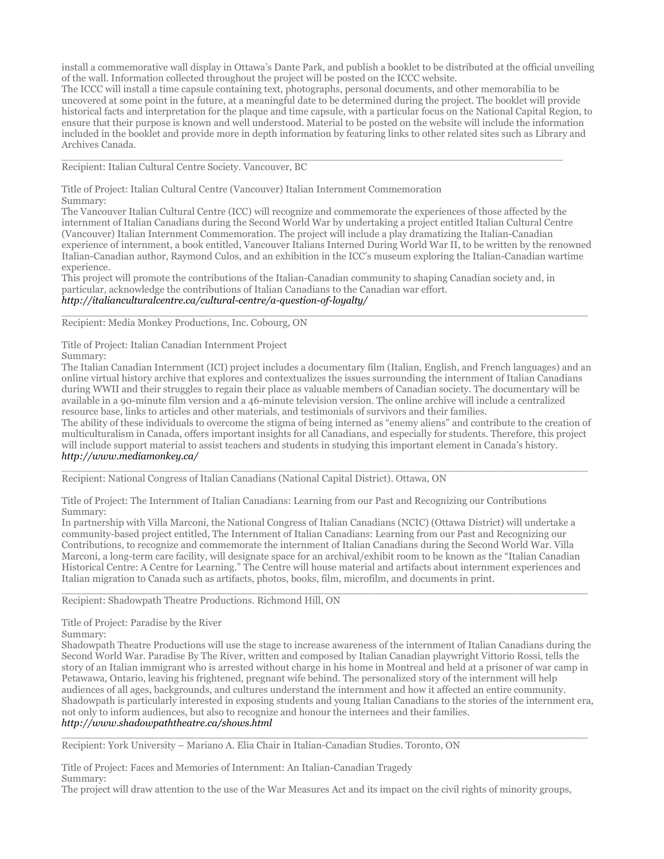install a commemorative wall display in Ottawa's Dante Park, and publish a booklet to be distributed at the official unveiling of the wall. Information collected throughout the project will be posted on the ICCC website.

The ICCC will install a time capsule containing text, photographs, personal documents, and other memorabilia to be uncovered at some point in the future, at a meaningful date to be determined during the project. The booklet will provide historical facts and interpretation for the plaque and time capsule, with a particular focus on the National Capital Region, to ensure that their purpose is known and well understood. Material to be posted on the website will include the information included in the booklet and provide more in depth information by featuring links to other related sites such as Library and Archives Canada.

 $\_$  ,  $\_$  ,  $\_$  ,  $\_$  ,  $\_$  ,  $\_$  ,  $\_$  ,  $\_$  ,  $\_$  ,  $\_$  ,  $\_$  ,  $\_$  ,  $\_$  ,  $\_$  ,  $\_$  ,  $\_$  ,  $\_$  ,  $\_$  ,  $\_$  ,  $\_$  ,  $\_$  ,  $\_$  ,  $\_$  ,  $\_$  ,  $\_$  ,  $\_$  ,  $\_$  ,  $\_$  ,  $\_$  ,  $\_$  ,  $\_$  ,  $\_$  ,  $\_$  ,  $\_$  ,  $\_$  ,  $\_$  ,  $\_$  ,

Recipient: Italian Cultural Centre Society. Vancouver, BC

Title of Project: Italian Cultural Centre (Vancouver) Italian Internment Commemoration Summary:

The Vancouver Italian Cultural Centre (ICC) will recognize and commemorate the experiences of those affected by the internment of Italian Canadians during the Second World War by undertaking a project entitled Italian Cultural Centre (Vancouver) Italian Internment Commemoration. The project will include a play dramatizing the Italian-Canadian experience of internment, a book entitled, Vancouver Italians Interned During World War II, to be written by the renowned Italian-Canadian author, Raymond Culos, and an exhibition in the ICC's museum exploring the Italian-Canadian wartime experience.

This project will promote the contributions of the Italian-Canadian community to shaping Canadian society and, in particular, acknowledge the contributions of Italian Canadians to the Canadian war effort.

#### *<http://italianculturalcentre.ca/cultural-centre/a-question-of-loyalty/>*  $\_$  , and the set of the set of the set of the set of the set of the set of the set of the set of the set of the set of the set of the set of the set of the set of the set of the set of the set of the set of the set of th

Recipient: Media Monkey Productions, Inc. Cobourg, ON

Title of Project: Italian Canadian Internment Project

Summary:

The Italian Canadian Internment (ICI) project includes a documentary film (Italian, English, and French languages) and an online virtual history archive that explores and contextualizes the issues surrounding the internment of Italian Canadians during WWII and their struggles to regain their place as valuable members of Canadian society. The documentary will be available in a 90-minute film version and a 46-minute television version. The online archive will include a centralized resource base, links to articles and other materials, and testimonials of survivors and their families.

The ability of these individuals to overcome the stigma of being interned as "enemy aliens" and contribute to the creation of multiculturalism in Canada, offers important insights for all Canadians, and especially for students. Therefore, this project will include support material to assist teachers and students in studying this important element in Canada's history. *<http://www.mediamonkey.ca/>*

 $\_$  , and the set of the set of the set of the set of the set of the set of the set of the set of the set of the set of the set of the set of the set of the set of the set of the set of the set of the set of the set of th Recipient: National Congress of Italian Canadians (National Capital District). Ottawa, ON

Title of Project: The Internment of Italian Canadians: Learning from our Past and Recognizing our Contributions Summary:

In partnership with Villa Marconi, the National Congress of Italian Canadians (NCIC) (Ottawa District) will undertake a community-based project entitled, The Internment of Italian Canadians: Learning from our Past and Recognizing our Contributions, to recognize and commemorate the internment of Italian Canadians during the Second World War. Villa Marconi, a long-term care facility, will designate space for an archival/exhibit room to be known as the "Italian Canadian Historical Centre: A Centre for Learning." The Centre will house material and artifacts about internment experiences and Italian migration to Canada such as artifacts, photos, books, film, microfilm, and documents in print.

 $\_$  , and the set of the set of the set of the set of the set of the set of the set of the set of the set of the set of the set of the set of the set of the set of the set of the set of the set of the set of the set of th

Recipient: Shadowpath Theatre Productions. Richmond Hill, ON

Title of Project: Paradise by the River

Summary:

Shadowpath Theatre Productions will use the stage to increase awareness of the internment of Italian Canadians during the Second World War. Paradise By The River, written and composed by Italian Canadian playwright Vittorio Rossi, tells the story of an Italian immigrant who is arrested without charge in his home in Montreal and held at a prisoner of war camp in Petawawa, Ontario, leaving his frightened, pregnant wife behind. The personalized story of the internment will help audiences of all ages, backgrounds, and cultures understand the internment and how it affected an entire community. Shadowpath is particularly interested in exposing students and young Italian Canadians to the stories of the internment era, not only to inform audiences, but also to recognize and honour the internees and their families. *<http://www.shadowpaththeatre.ca/shows.html>*

 $\_$  , and the set of the set of the set of the set of the set of the set of the set of the set of the set of the set of the set of the set of the set of the set of the set of the set of the set of the set of the set of th Recipient: York University – Mariano A. Elia Chair in Italian-Canadian Studies. Toronto, ON

Title of Project: Faces and Memories of Internment: An Italian-Canadian Tragedy

Summary:

The project will draw attention to the use of the War Measures Act and its impact on the civil rights of minority groups,